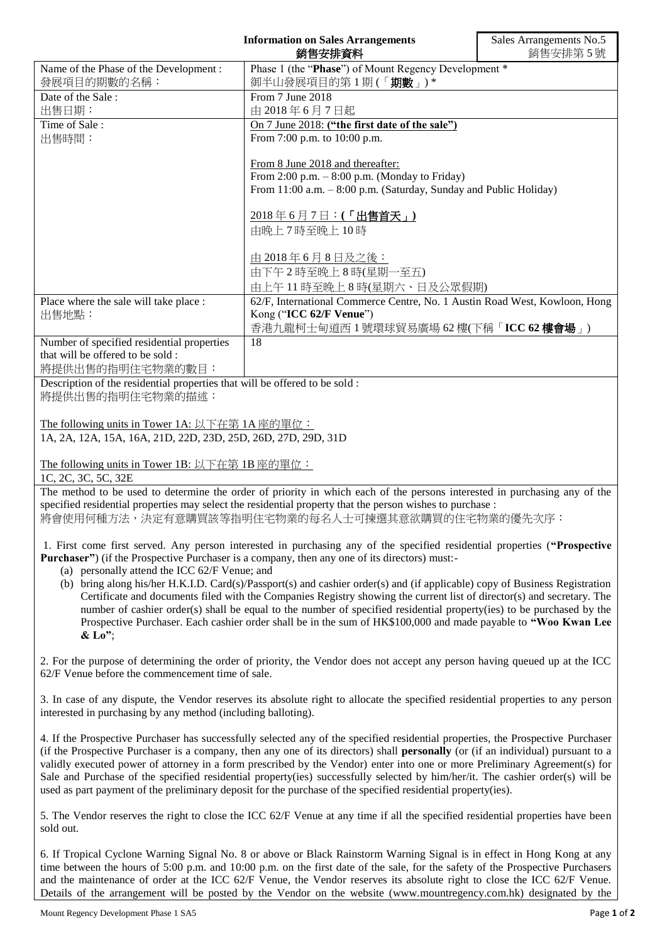| <b>Information on Sales Arrangements</b><br>銷售安排資料                                                                                                                                                                                                                          |                                                                                                                                                                                                                                                       | Sales Arrangements No.5<br>銷售安排第5號 |
|-----------------------------------------------------------------------------------------------------------------------------------------------------------------------------------------------------------------------------------------------------------------------------|-------------------------------------------------------------------------------------------------------------------------------------------------------------------------------------------------------------------------------------------------------|------------------------------------|
| Name of the Phase of the Development:                                                                                                                                                                                                                                       | Phase 1 (the "Phase") of Mount Regency Development *                                                                                                                                                                                                  |                                    |
| 發展項目的期數的名稱:                                                                                                                                                                                                                                                                 | 御半山發展項目的第1期(「期數」)*                                                                                                                                                                                                                                    |                                    |
| Date of the Sale:                                                                                                                                                                                                                                                           | From 7 June 2018                                                                                                                                                                                                                                      |                                    |
| 出售日期:                                                                                                                                                                                                                                                                       | 由 2018年6月7日起                                                                                                                                                                                                                                          |                                    |
| Time of Sale:                                                                                                                                                                                                                                                               | On 7 June 2018: ("the first date of the sale")                                                                                                                                                                                                        |                                    |
| 出售時間:                                                                                                                                                                                                                                                                       | From 7:00 p.m. to 10:00 p.m.                                                                                                                                                                                                                          |                                    |
|                                                                                                                                                                                                                                                                             |                                                                                                                                                                                                                                                       |                                    |
|                                                                                                                                                                                                                                                                             | From 8 June 2018 and thereafter:                                                                                                                                                                                                                      |                                    |
|                                                                                                                                                                                                                                                                             | From 2:00 p.m. - 8:00 p.m. (Monday to Friday)                                                                                                                                                                                                         |                                    |
|                                                                                                                                                                                                                                                                             | From 11:00 a.m. - 8:00 p.m. (Saturday, Sunday and Public Holiday)                                                                                                                                                                                     |                                    |
|                                                                                                                                                                                                                                                                             |                                                                                                                                                                                                                                                       |                                    |
|                                                                                                                                                                                                                                                                             | 2018年6月7日:(「出售首天」)                                                                                                                                                                                                                                    |                                    |
|                                                                                                                                                                                                                                                                             | 由晚上7時至晚上10時                                                                                                                                                                                                                                           |                                    |
|                                                                                                                                                                                                                                                                             |                                                                                                                                                                                                                                                       |                                    |
|                                                                                                                                                                                                                                                                             | <u>由 2018年6月8日及之後:</u>                                                                                                                                                                                                                                |                                    |
|                                                                                                                                                                                                                                                                             | 由下午2時至晚上8時(星期一至五)                                                                                                                                                                                                                                     |                                    |
|                                                                                                                                                                                                                                                                             | 由上午11時至晚上8時(星期六、日及公眾假期)                                                                                                                                                                                                                               |                                    |
| Place where the sale will take place :                                                                                                                                                                                                                                      | 62/F, International Commerce Centre, No. 1 Austin Road West, Kowloon, Hong                                                                                                                                                                            |                                    |
| 出售地點:                                                                                                                                                                                                                                                                       | Kong ("ICC 62/F Venue")                                                                                                                                                                                                                               |                                    |
|                                                                                                                                                                                                                                                                             | 香港九龍柯士甸道西1號環球貿易廣場 62樓(下稱「ICC 62樓會場」)                                                                                                                                                                                                                  |                                    |
| Number of specified residential properties                                                                                                                                                                                                                                  | 18                                                                                                                                                                                                                                                    |                                    |
| that will be offered to be sold:                                                                                                                                                                                                                                            |                                                                                                                                                                                                                                                       |                                    |
| 將提供出售的指明住宅物業的數目:                                                                                                                                                                                                                                                            |                                                                                                                                                                                                                                                       |                                    |
| Description of the residential properties that will be offered to be sold :                                                                                                                                                                                                 |                                                                                                                                                                                                                                                       |                                    |
| 將提供出售的指明住宅物業的描述:                                                                                                                                                                                                                                                            |                                                                                                                                                                                                                                                       |                                    |
|                                                                                                                                                                                                                                                                             |                                                                                                                                                                                                                                                       |                                    |
| The following units in Tower 1A: 以下在第 1A 座的單位:                                                                                                                                                                                                                              |                                                                                                                                                                                                                                                       |                                    |
| 1A, 2A, 12A, 15A, 16A, 21D, 22D, 23D, 25D, 26D, 27D, 29D, 31D                                                                                                                                                                                                               |                                                                                                                                                                                                                                                       |                                    |
|                                                                                                                                                                                                                                                                             |                                                                                                                                                                                                                                                       |                                    |
| The following units in Tower 1B: 以下在第 1B 座的單位:                                                                                                                                                                                                                              |                                                                                                                                                                                                                                                       |                                    |
| 1C, 2C, 3C, 5C, 32E                                                                                                                                                                                                                                                         |                                                                                                                                                                                                                                                       |                                    |
| The method to be used to determine the order of priority in which each of the persons interested in purchasing any of the                                                                                                                                                   |                                                                                                                                                                                                                                                       |                                    |
| specified residential properties may select the residential property that the person wishes to purchase :                                                                                                                                                                   |                                                                                                                                                                                                                                                       |                                    |
| 將會使用何種方法,決定有意購買該等指明住宅物業的每名人士可揀選其意欲購買的住宅物業的優先次序:                                                                                                                                                                                                                             |                                                                                                                                                                                                                                                       |                                    |
|                                                                                                                                                                                                                                                                             |                                                                                                                                                                                                                                                       |                                    |
| 1. First come first served. Any person interested in purchasing any of the specified residential properties ("Prospective                                                                                                                                                   |                                                                                                                                                                                                                                                       |                                    |
|                                                                                                                                                                                                                                                                             | <b>Purchaser</b> ") (if the Prospective Purchaser is a company, then any one of its directors) must:-                                                                                                                                                 |                                    |
| (a) personally attend the ICC 62/F Venue; and                                                                                                                                                                                                                               |                                                                                                                                                                                                                                                       |                                    |
|                                                                                                                                                                                                                                                                             | (b) bring along his/her H.K.I.D. Card(s)/Passport(s) and cashier order(s) and (if applicable) copy of Business Registration<br>Certificate and documents filed with the Companies Registry showing the current list of director(s) and secretary. The |                                    |
|                                                                                                                                                                                                                                                                             | number of cashier order(s) shall be equal to the number of specified residential property(ies) to be purchased by the                                                                                                                                 |                                    |
|                                                                                                                                                                                                                                                                             |                                                                                                                                                                                                                                                       |                                    |
| Prospective Purchaser. Each cashier order shall be in the sum of HK\$100,000 and made payable to "Woo Kwan Lee<br>$&$ Lo";                                                                                                                                                  |                                                                                                                                                                                                                                                       |                                    |
|                                                                                                                                                                                                                                                                             |                                                                                                                                                                                                                                                       |                                    |
| 2. For the purpose of determining the order of priority, the Vendor does not accept any person having queued up at the ICC                                                                                                                                                  |                                                                                                                                                                                                                                                       |                                    |
| 62/F Venue before the commencement time of sale.                                                                                                                                                                                                                            |                                                                                                                                                                                                                                                       |                                    |
|                                                                                                                                                                                                                                                                             |                                                                                                                                                                                                                                                       |                                    |
| 3. In case of any dispute, the Vendor reserves its absolute right to allocate the specified residential properties to any person                                                                                                                                            |                                                                                                                                                                                                                                                       |                                    |
| interested in purchasing by any method (including balloting).                                                                                                                                                                                                               |                                                                                                                                                                                                                                                       |                                    |
|                                                                                                                                                                                                                                                                             |                                                                                                                                                                                                                                                       |                                    |
| 4. If the Prospective Purchaser has successfully selected any of the specified residential properties, the Prospective Purchaser<br>(if the Prospective Purchaser is a company, then any one of its directors) shall <b>personally</b> (or (if an individual) pursuant to a |                                                                                                                                                                                                                                                       |                                    |
|                                                                                                                                                                                                                                                                             |                                                                                                                                                                                                                                                       |                                    |
|                                                                                                                                                                                                                                                                             | validly executed power of attorney in a form prescribed by the Vendor) enter into one or more Preliminary Agreement(s) for                                                                                                                            |                                    |
| Sale and Purchase of the specified residential property(ies) successfully selected by him/her/it. The cashier order(s) will be<br>used as part payment of the preliminary deposit for the purchase of the specified residential property(ies).                              |                                                                                                                                                                                                                                                       |                                    |
|                                                                                                                                                                                                                                                                             |                                                                                                                                                                                                                                                       |                                    |
| 5. The Vendor reserves the right to close the ICC 62/F Venue at any time if all the specified residential properties have been                                                                                                                                              |                                                                                                                                                                                                                                                       |                                    |
| sold out.                                                                                                                                                                                                                                                                   |                                                                                                                                                                                                                                                       |                                    |
|                                                                                                                                                                                                                                                                             |                                                                                                                                                                                                                                                       |                                    |
|                                                                                                                                                                                                                                                                             | 6. If Tropical Cyclone Warning Signal No. 8 or above or Black Rainstorm Warning Signal is in effect in Hong Kong at any                                                                                                                               |                                    |
| time between the hours of 5:00 p.m. and 10:00 p.m. on the first date of the sale, for the safety of the Prospective Purchasers                                                                                                                                              |                                                                                                                                                                                                                                                       |                                    |
|                                                                                                                                                                                                                                                                             | and the maintenance of order at the ICC 62/F Venue, the Vendor reserves its absolute right to close the ICC 62/F Venue.                                                                                                                               |                                    |

Details of the arrangement will be posted by the Vendor on the website (www.mountregency.com.hk) designated by the